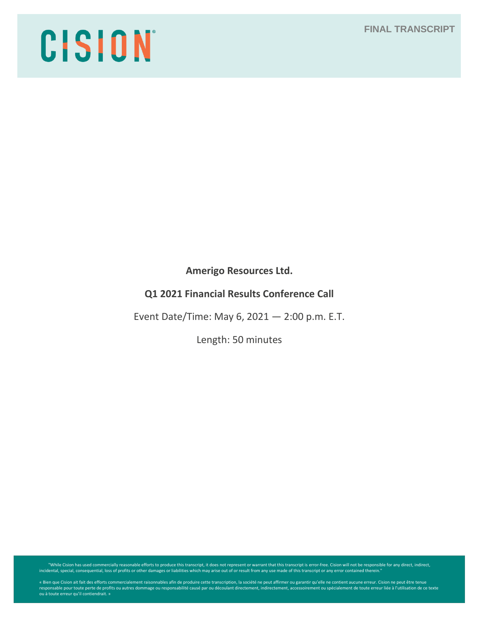# **FINAL TRANSCRIPT**

# CISION

**Amerigo Resources Ltd.**

# **Q1 2021 Financial Results Conference Call**

Event Date/Time: May 6, 2021 — 2:00 p.m. E.T.

Length: 50 minutes

While Cision has used commercially reasonable efforts to produce this transcript, it does not represent or warrant that this transcript is error-free. Cision will not be responsible for any direct, indirect, indirect, indi

« Bien que Cision ait fait des efforts commercialement raisonnables afin de produire cette transcription, la société ne peut affirmer ou garantir qu'elle ne contient aucune erreur. Cision ne peut être tenue<br>responsable pou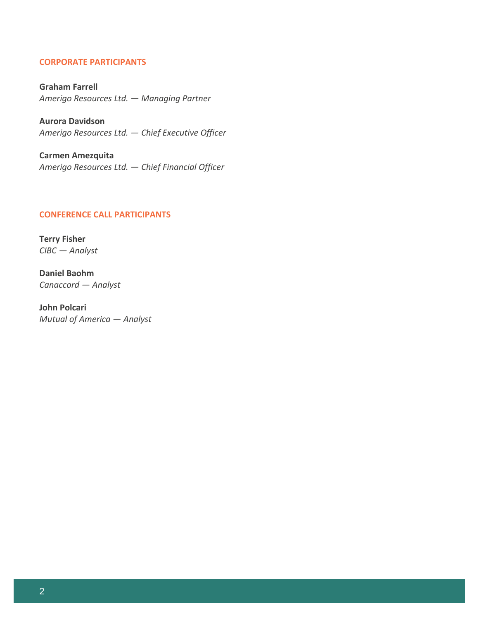# **CORPORATE PARTICIPANTS**

**Graham Farrell** *Amerigo Resources Ltd. — Managing Partner*

**Aurora Davidson** *Amerigo Resources Ltd. — Chief Executive Officer*

**Carmen Amezquita** *Amerigo Resources Ltd. — Chief Financial Officer*

#### **CONFERENCE CALL PARTICIPANTS**

**Terry Fisher** *CIBC — Analyst*

**Daniel Baohm** *Canaccord — Analyst*

**John Polcari** *Mutual of America — Analyst*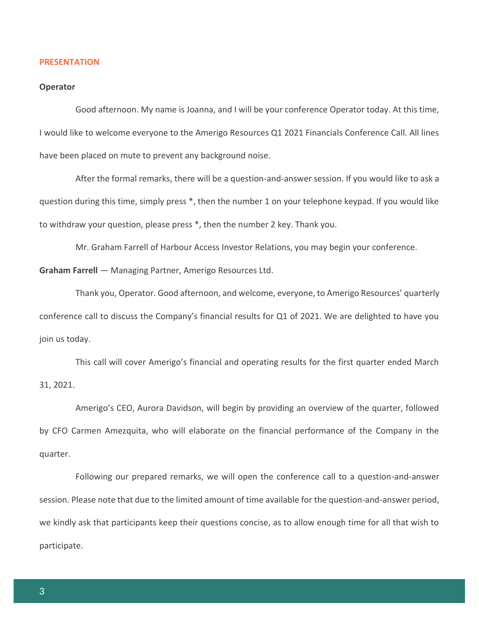#### **PRESENTATION**

#### **Operator**

Good afternoon. My name is Joanna, and I will be your conference Operator today. At this time, I would like to welcome everyone to the Amerigo Resources Q1 2021 Financials Conference Call. All lines have been placed on mute to prevent any background noise.

After the formal remarks, there will be a question-and-answer session. If you would like to ask a question during this time, simply press \*, then the number 1 on your telephone keypad. If you would like to withdraw your question, please press \*, then the number 2 key. Thank you.

Mr. Graham Farrell of Harbour Access Investor Relations, you may begin your conference.

**Graham Farrell** — Managing Partner, Amerigo Resources Ltd.

Thank you, Operator. Good afternoon, and welcome, everyone, to Amerigo Resources' quarterly conference call to discuss the Company's financial results for Q1 of 2021. We are delighted to have you join us today.

This call will cover Amerigo's financial and operating results for the first quarter ended March 31, 2021.

Amerigo's CEO, Aurora Davidson, will begin by providing an overview of the quarter, followed by CFO Carmen Amezquita, who will elaborate on the financial performance of the Company in the quarter.

Following our prepared remarks, we will open the conference call to a question-and-answer session. Please note that due to the limited amount of time available for the question-and-answer period, we kindly ask that participants keep their questions concise, as to allow enough time for all that wish to participate.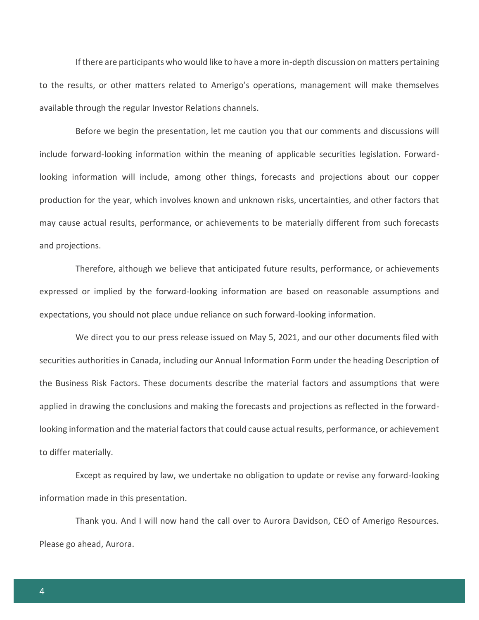If there are participants who would like to have a more in-depth discussion on matters pertaining to the results, or other matters related to Amerigo's operations, management will make themselves available through the regular Investor Relations channels.

Before we begin the presentation, let me caution you that our comments and discussions will include forward-looking information within the meaning of applicable securities legislation. Forwardlooking information will include, among other things, forecasts and projections about our copper production for the year, which involves known and unknown risks, uncertainties, and other factors that may cause actual results, performance, or achievements to be materially different from such forecasts and projections.

Therefore, although we believe that anticipated future results, performance, or achievements expressed or implied by the forward-looking information are based on reasonable assumptions and expectations, you should not place undue reliance on such forward-looking information.

We direct you to our press release issued on May 5, 2021, and our other documents filed with securities authorities in Canada, including our Annual Information Form under the heading Description of the Business Risk Factors. These documents describe the material factors and assumptions that were applied in drawing the conclusions and making the forecasts and projections as reflected in the forwardlooking information and the material factors that could cause actual results, performance, or achievement to differ materially.

Except as required by law, we undertake no obligation to update or revise any forward-looking information made in this presentation.

Thank you. And I will now hand the call over to Aurora Davidson, CEO of Amerigo Resources. Please go ahead, Aurora.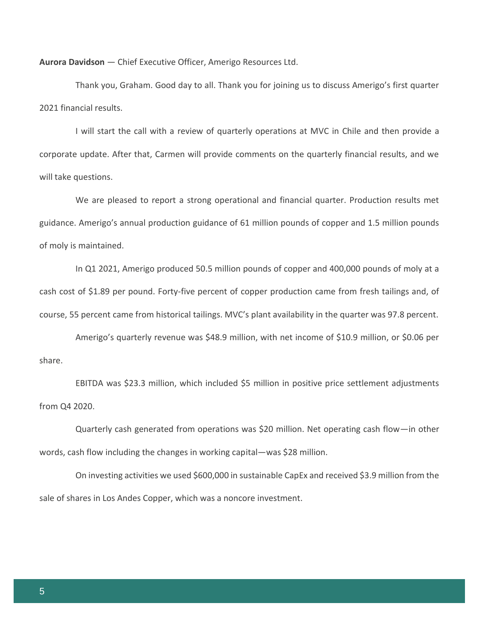**Aurora Davidson** — Chief Executive Officer, Amerigo Resources Ltd.

Thank you, Graham. Good day to all. Thank you for joining us to discuss Amerigo's first quarter 2021 financial results.

I will start the call with a review of quarterly operations at MVC in Chile and then provide a corporate update. After that, Carmen will provide comments on the quarterly financial results, and we will take questions.

We are pleased to report a strong operational and financial quarter. Production results met guidance. Amerigo's annual production guidance of 61 million pounds of copper and 1.5 million pounds of moly is maintained.

In Q1 2021, Amerigo produced 50.5 million pounds of copper and 400,000 pounds of moly at a cash cost of \$1.89 per pound. Forty-five percent of copper production came from fresh tailings and, of course, 55 percent came from historical tailings. MVC's plant availability in the quarter was 97.8 percent.

Amerigo's quarterly revenue was \$48.9 million, with net income of \$10.9 million, or \$0.06 per share.

EBITDA was \$23.3 million, which included \$5 million in positive price settlement adjustments from Q4 2020.

Quarterly cash generated from operations was \$20 million. Net operating cash flow—in other words, cash flow including the changes in working capital—was \$28 million.

On investing activities we used \$600,000 in sustainable CapEx and received \$3.9 million from the sale of shares in Los Andes Copper, which was a noncore investment.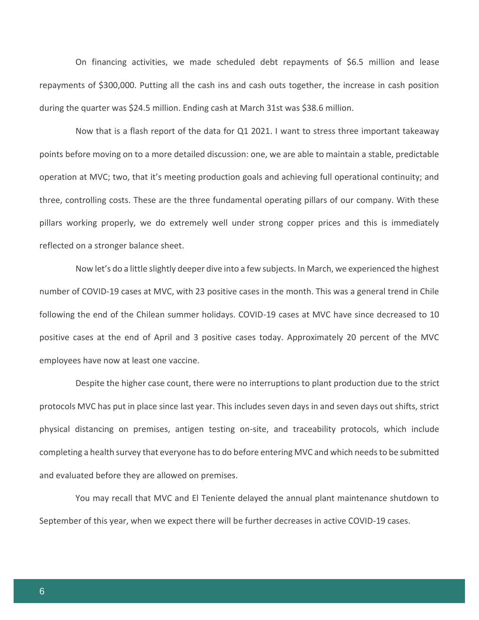On financing activities, we made scheduled debt repayments of \$6.5 million and lease repayments of \$300,000. Putting all the cash ins and cash outs together, the increase in cash position during the quarter was \$24.5 million. Ending cash at March 31st was \$38.6 million.

Now that is a flash report of the data for Q1 2021. I want to stress three important takeaway points before moving on to a more detailed discussion: one, we are able to maintain a stable, predictable operation at MVC; two, that it's meeting production goals and achieving full operational continuity; and three, controlling costs. These are the three fundamental operating pillars of our company. With these pillars working properly, we do extremely well under strong copper prices and this is immediately reflected on a stronger balance sheet.

Now let's do a little slightly deeper dive into a few subjects. In March, we experienced the highest number of COVID-19 cases at MVC, with 23 positive cases in the month. This was a general trend in Chile following the end of the Chilean summer holidays. COVID-19 cases at MVC have since decreased to 10 positive cases at the end of April and 3 positive cases today. Approximately 20 percent of the MVC employees have now at least one vaccine.

Despite the higher case count, there were no interruptions to plant production due to the strict protocols MVC has put in place since last year. This includes seven days in and seven days out shifts, strict physical distancing on premises, antigen testing on-site, and traceability protocols, which include completing a health survey that everyone has to do before entering MVC and which needs to be submitted and evaluated before they are allowed on premises.

You may recall that MVC and El Teniente delayed the annual plant maintenance shutdown to September of this year, when we expect there will be further decreases in active COVID-19 cases.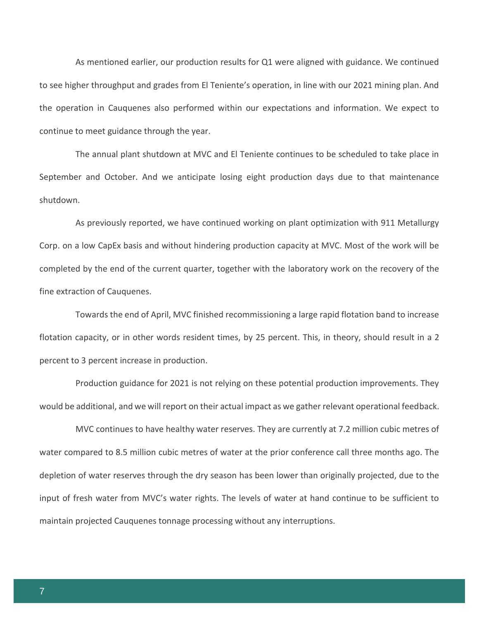As mentioned earlier, our production results for Q1 were aligned with guidance. We continued to see higher throughput and grades from El Teniente's operation, in line with our 2021 mining plan. And the operation in Cauquenes also performed within our expectations and information. We expect to continue to meet guidance through the year.

The annual plant shutdown at MVC and El Teniente continues to be scheduled to take place in September and October. And we anticipate losing eight production days due to that maintenance shutdown.

As previously reported, we have continued working on plant optimization with 911 Metallurgy Corp. on a low CapEx basis and without hindering production capacity at MVC. Most of the work will be completed by the end of the current quarter, together with the laboratory work on the recovery of the fine extraction of Cauquenes.

Towards the end of April, MVC finished recommissioning a large rapid flotation band to increase flotation capacity, or in other words resident times, by 25 percent. This, in theory, should result in a 2 percent to 3 percent increase in production.

Production guidance for 2021 is not relying on these potential production improvements. They would be additional, and we will report on their actual impact as we gather relevant operational feedback.

MVC continues to have healthy water reserves. They are currently at 7.2 million cubic metres of water compared to 8.5 million cubic metres of water at the prior conference call three months ago. The depletion of water reserves through the dry season has been lower than originally projected, due to the input of fresh water from MVC's water rights. The levels of water at hand continue to be sufficient to maintain projected Cauquenes tonnage processing without any interruptions.

7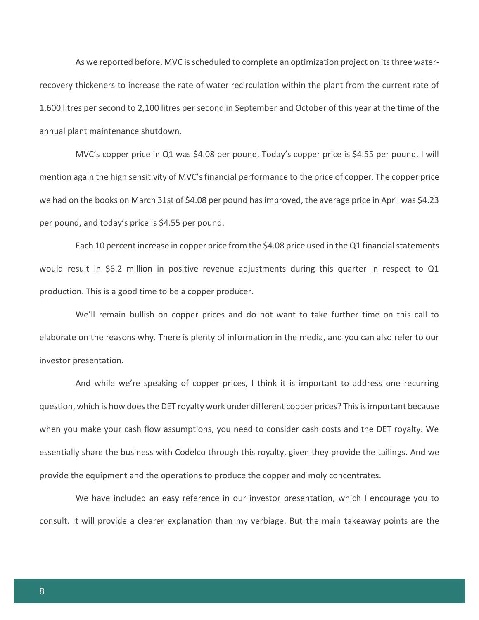As we reported before, MVC is scheduled to complete an optimization project on its three waterrecovery thickeners to increase the rate of water recirculation within the plant from the current rate of 1,600 litres per second to 2,100 litres per second in September and October of this year at the time of the annual plant maintenance shutdown.

MVC's copper price in Q1 was \$4.08 per pound. Today's copper price is \$4.55 per pound. I will mention again the high sensitivity of MVC's financial performance to the price of copper. The copper price we had on the books on March 31st of \$4.08 per pound has improved, the average price in April was \$4.23 per pound, and today's price is \$4.55 per pound.

Each 10 percent increase in copper price from the \$4.08 price used in the Q1 financial statements would result in \$6.2 million in positive revenue adjustments during this quarter in respect to Q1 production. This is a good time to be a copper producer.

We'll remain bullish on copper prices and do not want to take further time on this call to elaborate on the reasons why. There is plenty of information in the media, and you can also refer to our investor presentation.

And while we're speaking of copper prices, I think it is important to address one recurring question, which is how does the DET royalty work under different copper prices? This is important because when you make your cash flow assumptions, you need to consider cash costs and the DET royalty. We essentially share the business with Codelco through this royalty, given they provide the tailings. And we provide the equipment and the operations to produce the copper and moly concentrates.

We have included an easy reference in our investor presentation, which I encourage you to consult. It will provide a clearer explanation than my verbiage. But the main takeaway points are the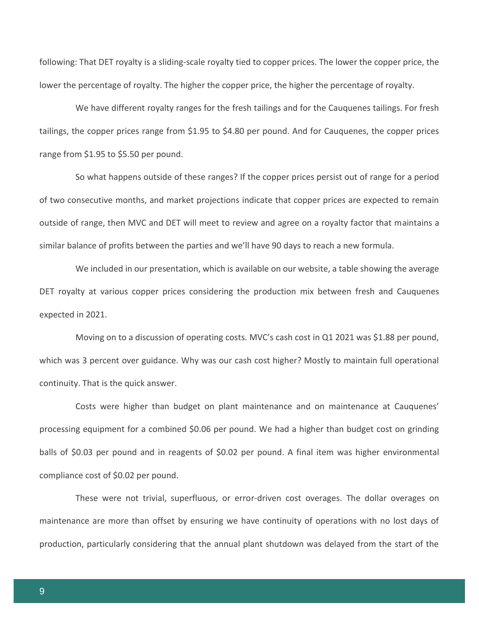following: That DET royalty is a sliding-scale royalty tied to copper prices. The lower the copper price, the lower the percentage of royalty. The higher the copper price, the higher the percentage of royalty.

We have different royalty ranges for the fresh tailings and for the Cauquenes tailings. For fresh tailings, the copper prices range from \$1.95 to \$4.80 per pound. And for Cauquenes, the copper prices range from \$1.95 to \$5.50 per pound.

So what happens outside of these ranges? If the copper prices persist out of range for a period of two consecutive months, and market projections indicate that copper prices are expected to remain outside of range, then MVC and DET will meet to review and agree on a royalty factor that maintains a similar balance of profits between the parties and we'll have 90 days to reach a new formula.

We included in our presentation, which is available on our website, a table showing the average DET royalty at various copper prices considering the production mix between fresh and Cauquenes expected in 2021.

Moving on to a discussion of operating costs. MVC's cash cost in Q1 2021 was \$1.88 per pound, which was 3 percent over guidance. Why was our cash cost higher? Mostly to maintain full operational continuity. That is the quick answer.

Costs were higher than budget on plant maintenance and on maintenance at Cauquenes' processing equipment for a combined \$0.06 per pound. We had a higher than budget cost on grinding balls of \$0.03 per pound and in reagents of \$0.02 per pound. A final item was higher environmental compliance cost of \$0.02 per pound.

These were not trivial, superfluous, or error-driven cost overages. The dollar overages on maintenance are more than offset by ensuring we have continuity of operations with no lost days of production, particularly considering that the annual plant shutdown was delayed from the start of the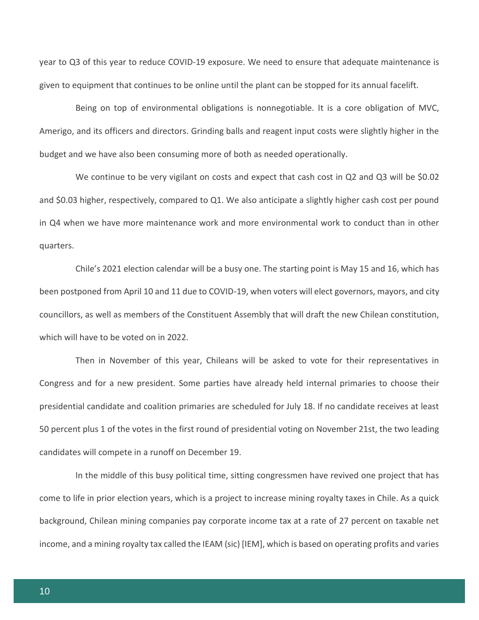year to Q3 of this year to reduce COVID-19 exposure. We need to ensure that adequate maintenance is given to equipment that continues to be online until the plant can be stopped for its annual facelift.

Being on top of environmental obligations is nonnegotiable. It is a core obligation of MVC, Amerigo, and its officers and directors. Grinding balls and reagent input costs were slightly higher in the budget and we have also been consuming more of both as needed operationally.

We continue to be very vigilant on costs and expect that cash cost in Q2 and Q3 will be \$0.02 and \$0.03 higher, respectively, compared to Q1. We also anticipate a slightly higher cash cost per pound in Q4 when we have more maintenance work and more environmental work to conduct than in other quarters.

Chile's 2021 election calendar will be a busy one. The starting point is May 15 and 16, which has been postponed from April 10 and 11 due to COVID-19, when voters will elect governors, mayors, and city councillors, as well as members of the Constituent Assembly that will draft the new Chilean constitution, which will have to be voted on in 2022.

Then in November of this year, Chileans will be asked to vote for their representatives in Congress and for a new president. Some parties have already held internal primaries to choose their presidential candidate and coalition primaries are scheduled for July 18. If no candidate receives at least 50 percent plus 1 of the votes in the first round of presidential voting on November 21st, the two leading candidates will compete in a runoff on December 19.

In the middle of this busy political time, sitting congressmen have revived one project that has come to life in prior election years, which is a project to increase mining royalty taxes in Chile. As a quick background, Chilean mining companies pay corporate income tax at a rate of 27 percent on taxable net income, and a mining royalty tax called the IEAM (sic) [IEM], which is based on operating profits and varies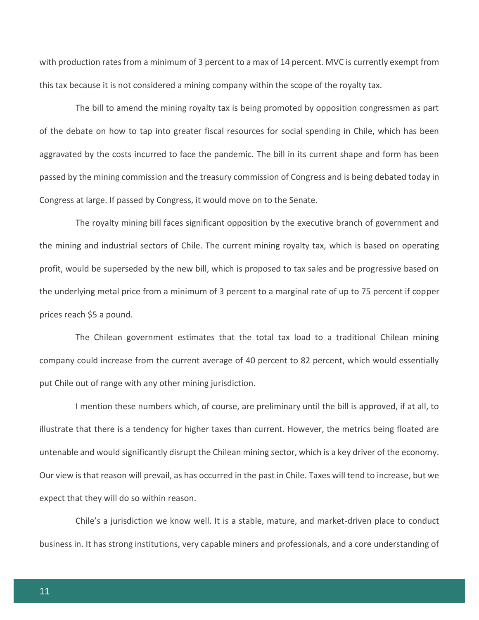with production rates from a minimum of 3 percent to a max of 14 percent. MVC is currently exempt from this tax because it is not considered a mining company within the scope of the royalty tax.

The bill to amend the mining royalty tax is being promoted by opposition congressmen as part of the debate on how to tap into greater fiscal resources for social spending in Chile, which has been aggravated by the costs incurred to face the pandemic. The bill in its current shape and form has been passed by the mining commission and the treasury commission of Congress and is being debated today in Congress at large. If passed by Congress, it would move on to the Senate.

The royalty mining bill faces significant opposition by the executive branch of government and the mining and industrial sectors of Chile. The current mining royalty tax, which is based on operating profit, would be superseded by the new bill, which is proposed to tax sales and be progressive based on the underlying metal price from a minimum of 3 percent to a marginal rate of up to 75 percent if copper prices reach \$5 a pound.

The Chilean government estimates that the total tax load to a traditional Chilean mining company could increase from the current average of 40 percent to 82 percent, which would essentially put Chile out of range with any other mining jurisdiction.

I mention these numbers which, of course, are preliminary until the bill is approved, if at all, to illustrate that there is a tendency for higher taxes than current. However, the metrics being floated are untenable and would significantly disrupt the Chilean mining sector, which is a key driver of the economy. Our view is that reason will prevail, as has occurred in the past in Chile. Taxes will tend to increase, but we expect that they will do so within reason.

Chile's a jurisdiction we know well. It is a stable, mature, and market-driven place to conduct business in. It has strong institutions, very capable miners and professionals, and a core understanding of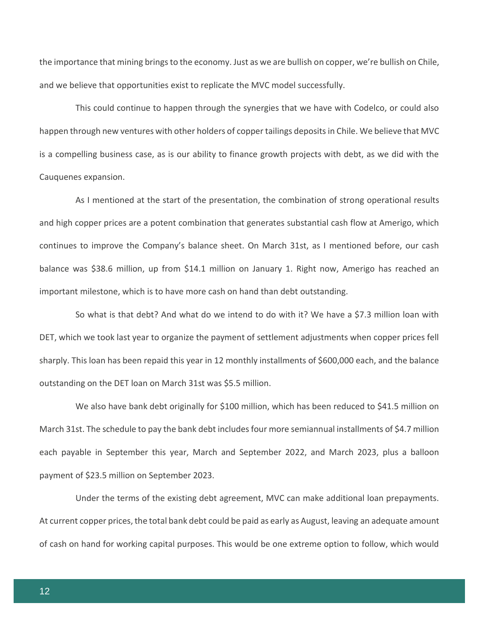the importance that mining brings to the economy. Just as we are bullish on copper, we're bullish on Chile, and we believe that opportunities exist to replicate the MVC model successfully.

This could continue to happen through the synergies that we have with Codelco, or could also happen through new ventures with other holders of copper tailings deposits in Chile. We believe that MVC is a compelling business case, as is our ability to finance growth projects with debt, as we did with the Cauquenes expansion.

As I mentioned at the start of the presentation, the combination of strong operational results and high copper prices are a potent combination that generates substantial cash flow at Amerigo, which continues to improve the Company's balance sheet. On March 31st, as I mentioned before, our cash balance was \$38.6 million, up from \$14.1 million on January 1. Right now, Amerigo has reached an important milestone, which is to have more cash on hand than debt outstanding.

So what is that debt? And what do we intend to do with it? We have a \$7.3 million loan with DET, which we took last year to organize the payment of settlement adjustments when copper prices fell sharply. This loan has been repaid this year in 12 monthly installments of \$600,000 each, and the balance outstanding on the DET loan on March 31st was \$5.5 million.

We also have bank debt originally for \$100 million, which has been reduced to \$41.5 million on March 31st. The schedule to pay the bank debt includes four more semiannual installments of \$4.7 million each payable in September this year, March and September 2022, and March 2023, plus a balloon payment of \$23.5 million on September 2023.

Under the terms of the existing debt agreement, MVC can make additional loan prepayments. At current copper prices, the total bank debt could be paid as early as August, leaving an adequate amount of cash on hand for working capital purposes. This would be one extreme option to follow, which would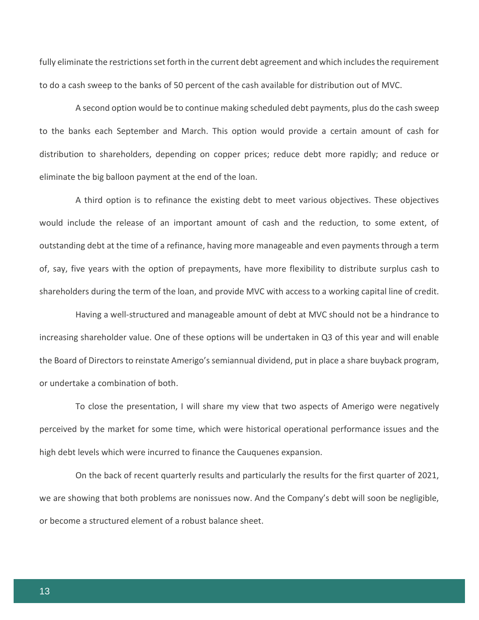fully eliminate the restrictions set forth in the current debt agreement and which includes the requirement to do a cash sweep to the banks of 50 percent of the cash available for distribution out of MVC.

A second option would be to continue making scheduled debt payments, plus do the cash sweep to the banks each September and March. This option would provide a certain amount of cash for distribution to shareholders, depending on copper prices; reduce debt more rapidly; and reduce or eliminate the big balloon payment at the end of the loan.

A third option is to refinance the existing debt to meet various objectives. These objectives would include the release of an important amount of cash and the reduction, to some extent, of outstanding debt at the time of a refinance, having more manageable and even payments through a term of, say, five years with the option of prepayments, have more flexibility to distribute surplus cash to shareholders during the term of the loan, and provide MVC with access to a working capital line of credit.

Having a well-structured and manageable amount of debt at MVC should not be a hindrance to increasing shareholder value. One of these options will be undertaken in Q3 of this year and will enable the Board of Directors to reinstate Amerigo's semiannual dividend, put in place a share buyback program, or undertake a combination of both.

To close the presentation, I will share my view that two aspects of Amerigo were negatively perceived by the market for some time, which were historical operational performance issues and the high debt levels which were incurred to finance the Cauquenes expansion.

On the back of recent quarterly results and particularly the results for the first quarter of 2021, we are showing that both problems are nonissues now. And the Company's debt will soon be negligible, or become a structured element of a robust balance sheet.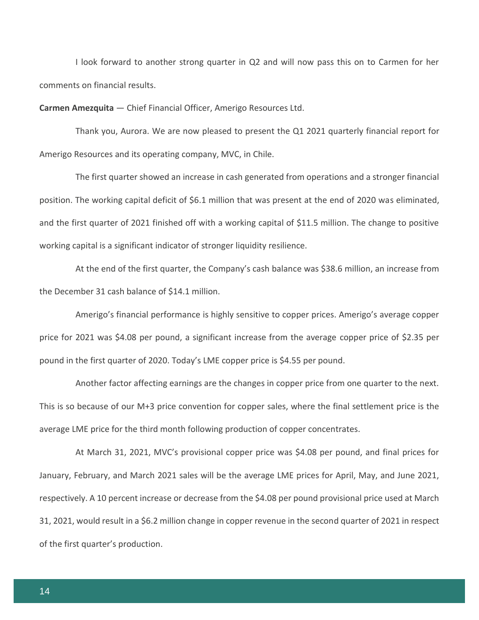I look forward to another strong quarter in Q2 and will now pass this on to Carmen for her comments on financial results.

**Carmen Amezquita** — Chief Financial Officer, Amerigo Resources Ltd.

Thank you, Aurora. We are now pleased to present the Q1 2021 quarterly financial report for Amerigo Resources and its operating company, MVC, in Chile.

The first quarter showed an increase in cash generated from operations and a stronger financial position. The working capital deficit of \$6.1 million that was present at the end of 2020 was eliminated, and the first quarter of 2021 finished off with a working capital of \$11.5 million. The change to positive working capital is a significant indicator of stronger liquidity resilience.

At the end of the first quarter, the Company's cash balance was \$38.6 million, an increase from the December 31 cash balance of \$14.1 million.

Amerigo's financial performance is highly sensitive to copper prices. Amerigo's average copper price for 2021 was \$4.08 per pound, a significant increase from the average copper price of \$2.35 per pound in the first quarter of 2020. Today's LME copper price is \$4.55 per pound.

Another factor affecting earnings are the changes in copper price from one quarter to the next. This is so because of our M+3 price convention for copper sales, where the final settlement price is the average LME price for the third month following production of copper concentrates.

At March 31, 2021, MVC's provisional copper price was \$4.08 per pound, and final prices for January, February, and March 2021 sales will be the average LME prices for April, May, and June 2021, respectively. A 10 percent increase or decrease from the \$4.08 per pound provisional price used at March 31, 2021, would result in a \$6.2 million change in copper revenue in the second quarter of 2021 in respect of the first quarter's production.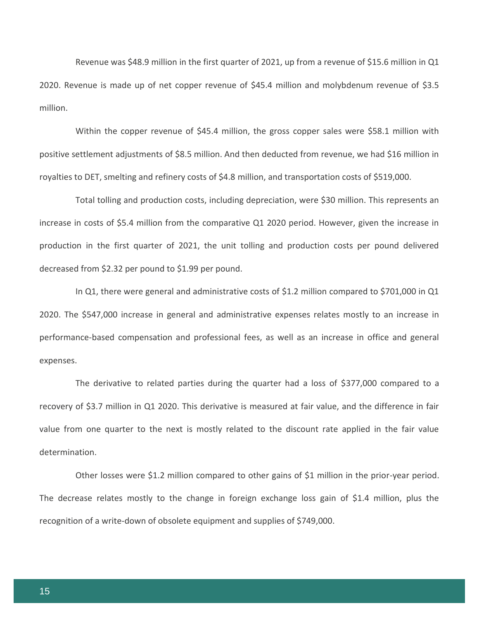Revenue was \$48.9 million in the first quarter of 2021, up from a revenue of \$15.6 million in Q1 2020. Revenue is made up of net copper revenue of \$45.4 million and molybdenum revenue of \$3.5 million.

Within the copper revenue of \$45.4 million, the gross copper sales were \$58.1 million with positive settlement adjustments of \$8.5 million. And then deducted from revenue, we had \$16 million in royalties to DET, smelting and refinery costs of \$4.8 million, and transportation costs of \$519,000.

Total tolling and production costs, including depreciation, were \$30 million. This represents an increase in costs of \$5.4 million from the comparative Q1 2020 period. However, given the increase in production in the first quarter of 2021, the unit tolling and production costs per pound delivered decreased from \$2.32 per pound to \$1.99 per pound.

In Q1, there were general and administrative costs of \$1.2 million compared to \$701,000 in Q1 2020. The \$547,000 increase in general and administrative expenses relates mostly to an increase in performance-based compensation and professional fees, as well as an increase in office and general expenses.

The derivative to related parties during the quarter had a loss of \$377,000 compared to a recovery of \$3.7 million in Q1 2020. This derivative is measured at fair value, and the difference in fair value from one quarter to the next is mostly related to the discount rate applied in the fair value determination.

Other losses were \$1.2 million compared to other gains of \$1 million in the prior-year period. The decrease relates mostly to the change in foreign exchange loss gain of \$1.4 million, plus the recognition of a write-down of obsolete equipment and supplies of \$749,000.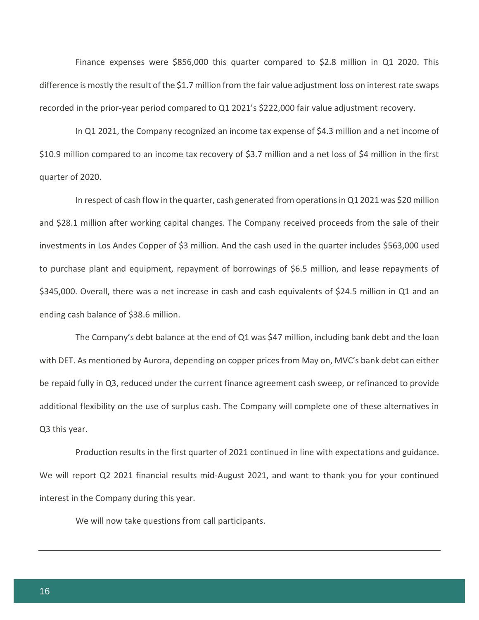Finance expenses were \$856,000 this quarter compared to \$2.8 million in Q1 2020. This difference is mostly the result of the \$1.7 million from the fair value adjustment loss on interest rate swaps recorded in the prior-year period compared to Q1 2021's \$222,000 fair value adjustment recovery.

In Q1 2021, the Company recognized an income tax expense of \$4.3 million and a net income of \$10.9 million compared to an income tax recovery of \$3.7 million and a net loss of \$4 million in the first quarter of 2020.

In respect of cash flow in the quarter, cash generated from operations in Q1 2021 was \$20 million and \$28.1 million after working capital changes. The Company received proceeds from the sale of their investments in Los Andes Copper of \$3 million. And the cash used in the quarter includes \$563,000 used to purchase plant and equipment, repayment of borrowings of \$6.5 million, and lease repayments of \$345,000. Overall, there was a net increase in cash and cash equivalents of \$24.5 million in Q1 and an ending cash balance of \$38.6 million.

The Company's debt balance at the end of Q1 was \$47 million, including bank debt and the loan with DET. As mentioned by Aurora, depending on copper prices from May on, MVC's bank debt can either be repaid fully in Q3, reduced under the current finance agreement cash sweep, or refinanced to provide additional flexibility on the use of surplus cash. The Company will complete one of these alternatives in Q3 this year.

Production results in the first quarter of 2021 continued in line with expectations and guidance. We will report Q2 2021 financial results mid-August 2021, and want to thank you for your continued interest in the Company during this year.

We will now take questions from call participants.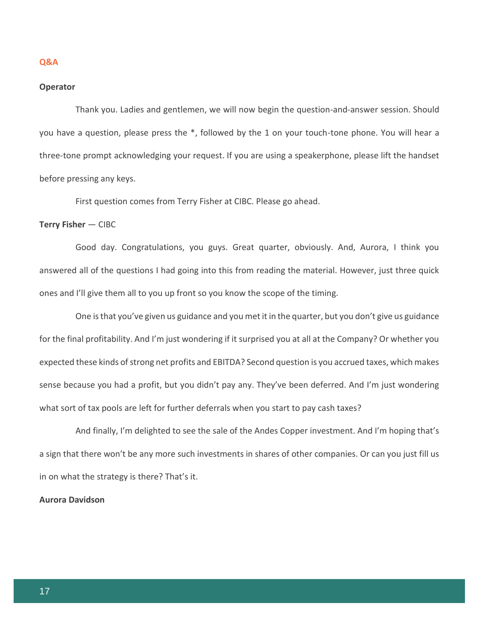#### **Q&A**

#### **Operator**

Thank you. Ladies and gentlemen, we will now begin the question-and-answer session. Should you have a question, please press the \*, followed by the 1 on your touch-tone phone. You will hear a three-tone prompt acknowledging your request. If you are using a speakerphone, please lift the handset before pressing any keys.

First question comes from Terry Fisher at CIBC. Please go ahead.

#### **Terry Fisher** — CIBC

Good day. Congratulations, you guys. Great quarter, obviously. And, Aurora, I think you answered all of the questions I had going into this from reading the material. However, just three quick ones and I'll give them all to you up front so you know the scope of the timing.

One is that you've given us guidance and you met it in the quarter, but you don't give us guidance for the final profitability. And I'm just wondering if it surprised you at all at the Company? Or whether you expected these kinds of strong net profits and EBITDA? Second question is you accrued taxes, which makes sense because you had a profit, but you didn't pay any. They've been deferred. And I'm just wondering what sort of tax pools are left for further deferrals when you start to pay cash taxes?

And finally, I'm delighted to see the sale of the Andes Copper investment. And I'm hoping that's a sign that there won't be any more such investments in shares of other companies. Or can you just fill us in on what the strategy is there? That's it.

**Aurora Davidson**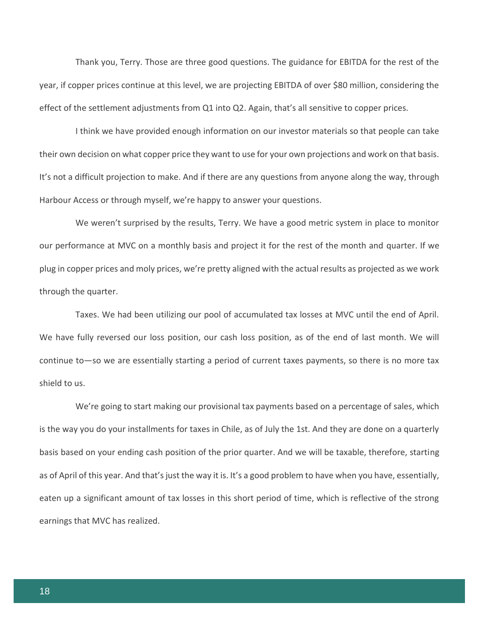Thank you, Terry. Those are three good questions. The guidance for EBITDA for the rest of the year, if copper prices continue at this level, we are projecting EBITDA of over \$80 million, considering the effect of the settlement adjustments from Q1 into Q2. Again, that's all sensitive to copper prices.

I think we have provided enough information on our investor materials so that people can take their own decision on what copper price they want to use for your own projections and work on that basis. It's not a difficult projection to make. And if there are any questions from anyone along the way, through Harbour Access or through myself, we're happy to answer your questions.

We weren't surprised by the results, Terry. We have a good metric system in place to monitor our performance at MVC on a monthly basis and project it for the rest of the month and quarter. If we plug in copper prices and moly prices, we're pretty aligned with the actual results as projected as we work through the quarter.

Taxes. We had been utilizing our pool of accumulated tax losses at MVC until the end of April. We have fully reversed our loss position, our cash loss position, as of the end of last month. We will continue to—so we are essentially starting a period of current taxes payments, so there is no more tax shield to us.

We're going to start making our provisional tax payments based on a percentage of sales, which is the way you do your installments for taxes in Chile, as of July the 1st. And they are done on a quarterly basis based on your ending cash position of the prior quarter. And we will be taxable, therefore, starting as of April of this year. And that's just the way it is. It's a good problem to have when you have, essentially, eaten up a significant amount of tax losses in this short period of time, which is reflective of the strong earnings that MVC has realized.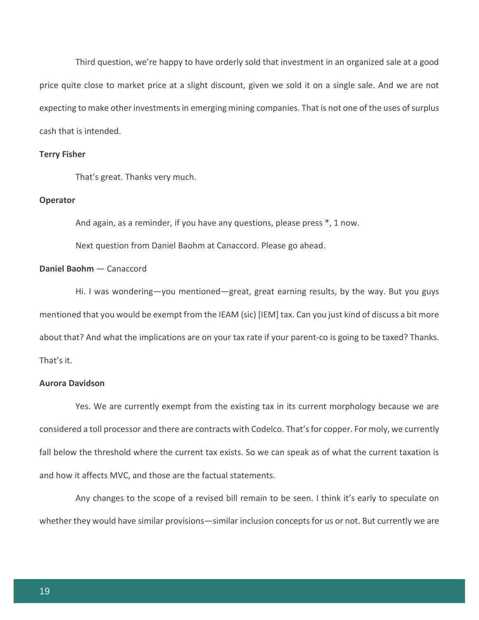Third question, we're happy to have orderly sold that investment in an organized sale at a good price quite close to market price at a slight discount, given we sold it on a single sale. And we are not expecting to make other investments in emerging mining companies. That is not one of the uses of surplus cash that is intended.

#### **Terry Fisher**

That's great. Thanks very much.

#### **Operator**

And again, as a reminder, if you have any questions, please press \*, 1 now.

Next question from Daniel Baohm at Canaccord. Please go ahead.

#### **Daniel Baohm** — Canaccord

Hi. I was wondering—you mentioned—great, great earning results, by the way. But you guys mentioned that you would be exempt from the IEAM (sic) [IEM] tax. Can you just kind of discuss a bit more about that? And what the implications are on your tax rate if your parent-co is going to be taxed? Thanks. That's it.

# **Aurora Davidson**

Yes. We are currently exempt from the existing tax in its current morphology because we are considered a toll processor and there are contracts with Codelco. That's for copper. For moly, we currently fall below the threshold where the current tax exists. So we can speak as of what the current taxation is and how it affects MVC, and those are the factual statements.

Any changes to the scope of a revised bill remain to be seen. I think it's early to speculate on whether they would have similar provisions—similar inclusion concepts for us or not. But currently we are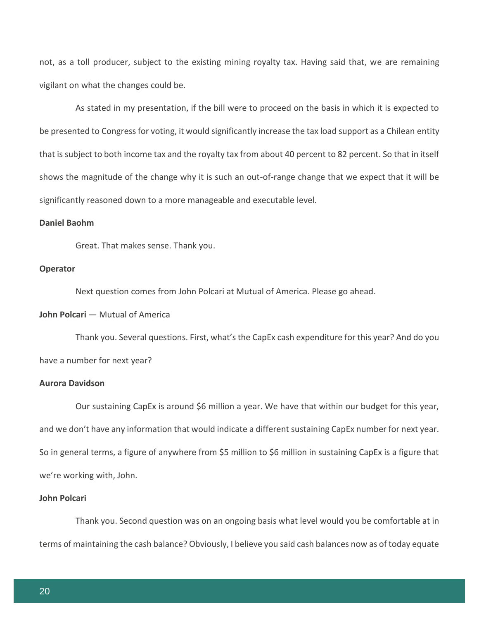not, as a toll producer, subject to the existing mining royalty tax. Having said that, we are remaining vigilant on what the changes could be.

As stated in my presentation, if the bill were to proceed on the basis in which it is expected to be presented to Congress for voting, it would significantly increase the tax load support as a Chilean entity that is subject to both income tax and the royalty tax from about 40 percent to 82 percent. So that in itself shows the magnitude of the change why it is such an out-of-range change that we expect that it will be significantly reasoned down to a more manageable and executable level.

#### **Daniel Baohm**

Great. That makes sense. Thank you.

#### **Operator**

Next question comes from John Polcari at Mutual of America. Please go ahead.

#### **John Polcari** — Mutual of America

Thank you. Several questions. First, what's the CapEx cash expenditure for this year? And do you have a number for next year?

# **Aurora Davidson**

Our sustaining CapEx is around \$6 million a year. We have that within our budget for this year, and we don't have any information that would indicate a different sustaining CapEx number for next year. So in general terms, a figure of anywhere from \$5 million to \$6 million in sustaining CapEx is a figure that we're working with, John.

#### **John Polcari**

Thank you. Second question was on an ongoing basis what level would you be comfortable at in terms of maintaining the cash balance? Obviously, I believe you said cash balances now as of today equate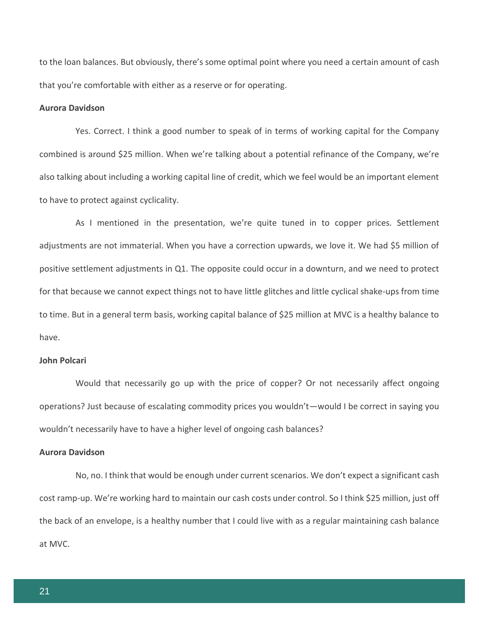to the loan balances. But obviously, there's some optimal point where you need a certain amount of cash that you're comfortable with either as a reserve or for operating.

#### **Aurora Davidson**

Yes. Correct. I think a good number to speak of in terms of working capital for the Company combined is around \$25 million. When we're talking about a potential refinance of the Company, we're also talking about including a working capital line of credit, which we feel would be an important element to have to protect against cyclicality.

As I mentioned in the presentation, we're quite tuned in to copper prices. Settlement adjustments are not immaterial. When you have a correction upwards, we love it. We had \$5 million of positive settlement adjustments in Q1. The opposite could occur in a downturn, and we need to protect for that because we cannot expect things not to have little glitches and little cyclical shake-ups from time to time. But in a general term basis, working capital balance of \$25 million at MVC is a healthy balance to have.

#### **John Polcari**

Would that necessarily go up with the price of copper? Or not necessarily affect ongoing operations? Just because of escalating commodity prices you wouldn't—would I be correct in saying you wouldn't necessarily have to have a higher level of ongoing cash balances?

#### **Aurora Davidson**

No, no. I think that would be enough under current scenarios. We don't expect a significant cash cost ramp-up. We're working hard to maintain our cash costs under control. So I think \$25 million, just off the back of an envelope, is a healthy number that I could live with as a regular maintaining cash balance at MVC.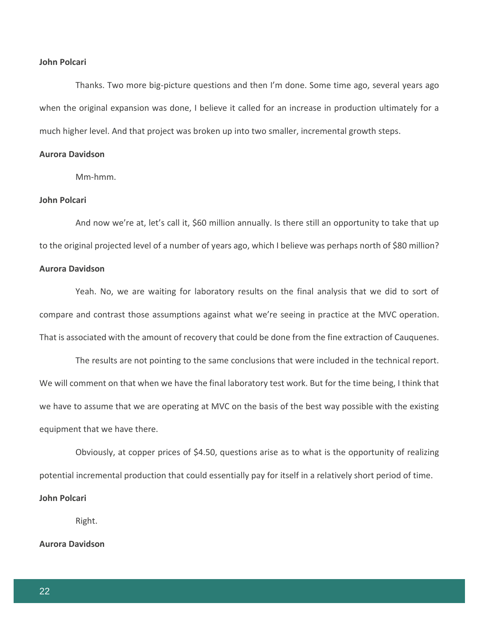#### **John Polcari**

Thanks. Two more big-picture questions and then I'm done. Some time ago, several years ago when the original expansion was done, I believe it called for an increase in production ultimately for a much higher level. And that project was broken up into two smaller, incremental growth steps.

#### **Aurora Davidson**

Mm-hmm.

#### **John Polcari**

And now we're at, let's call it, \$60 million annually. Is there still an opportunity to take that up to the original projected level of a number of years ago, which I believe was perhaps north of \$80 million?

# **Aurora Davidson**

Yeah. No, we are waiting for laboratory results on the final analysis that we did to sort of compare and contrast those assumptions against what we're seeing in practice at the MVC operation. That is associated with the amount of recovery that could be done from the fine extraction of Cauquenes.

The results are not pointing to the same conclusions that were included in the technical report. We will comment on that when we have the final laboratory test work. But for the time being, I think that we have to assume that we are operating at MVC on the basis of the best way possible with the existing equipment that we have there.

Obviously, at copper prices of \$4.50, questions arise as to what is the opportunity of realizing potential incremental production that could essentially pay for itself in a relatively short period of time.

#### **John Polcari**

Right.

#### **Aurora Davidson**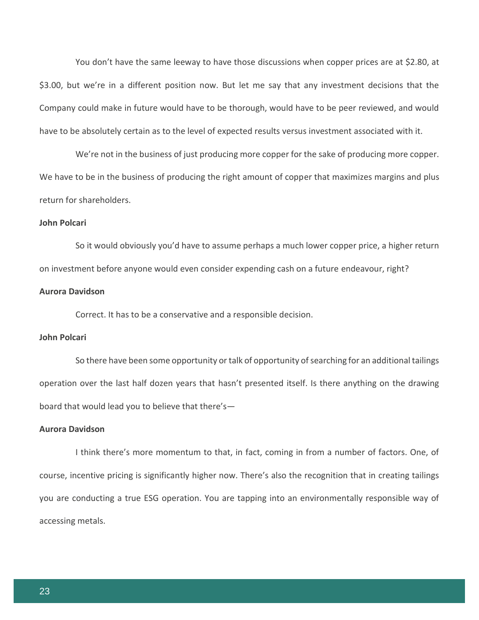You don't have the same leeway to have those discussions when copper prices are at \$2.80, at \$3.00, but we're in a different position now. But let me say that any investment decisions that the Company could make in future would have to be thorough, would have to be peer reviewed, and would have to be absolutely certain as to the level of expected results versus investment associated with it.

We're not in the business of just producing more copper for the sake of producing more copper. We have to be in the business of producing the right amount of copper that maximizes margins and plus return for shareholders.

#### **John Polcari**

So it would obviously you'd have to assume perhaps a much lower copper price, a higher return on investment before anyone would even consider expending cash on a future endeavour, right?

#### **Aurora Davidson**

Correct. It has to be a conservative and a responsible decision.

#### **John Polcari**

So there have been some opportunity or talk of opportunity of searching for an additional tailings operation over the last half dozen years that hasn't presented itself. Is there anything on the drawing board that would lead you to believe that there's—

#### **Aurora Davidson**

I think there's more momentum to that, in fact, coming in from a number of factors. One, of course, incentive pricing is significantly higher now. There's also the recognition that in creating tailings you are conducting a true ESG operation. You are tapping into an environmentally responsible way of accessing metals.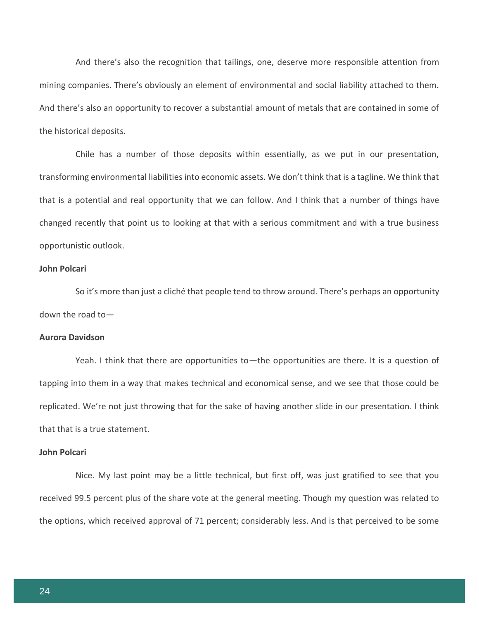And there's also the recognition that tailings, one, deserve more responsible attention from mining companies. There's obviously an element of environmental and social liability attached to them. And there's also an opportunity to recover a substantial amount of metals that are contained in some of the historical deposits.

Chile has a number of those deposits within essentially, as we put in our presentation, transforming environmental liabilities into economic assets. We don't think that is a tagline. We think that that is a potential and real opportunity that we can follow. And I think that a number of things have changed recently that point us to looking at that with a serious commitment and with a true business opportunistic outlook.

#### **John Polcari**

So it's more than just a cliché that people tend to throw around. There's perhaps an opportunity down the road to—

#### **Aurora Davidson**

Yeah. I think that there are opportunities to—the opportunities are there. It is a question of tapping into them in a way that makes technical and economical sense, and we see that those could be replicated. We're not just throwing that for the sake of having another slide in our presentation. I think that that is a true statement.

#### **John Polcari**

Nice. My last point may be a little technical, but first off, was just gratified to see that you received 99.5 percent plus of the share vote at the general meeting. Though my question was related to the options, which received approval of 71 percent; considerably less. And is that perceived to be some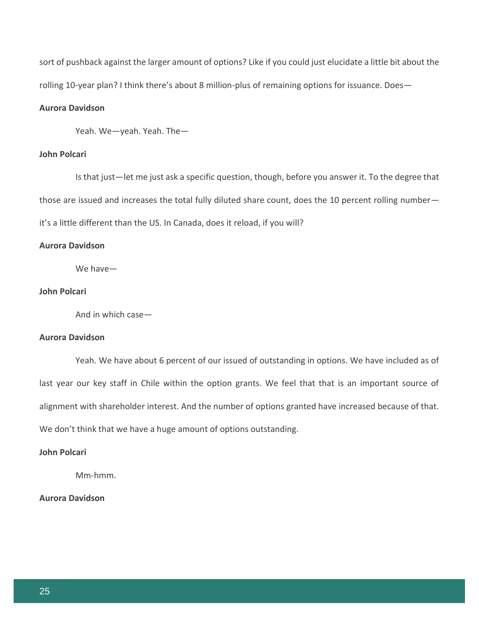sort of pushback against the larger amount of options? Like if you could just elucidate a little bit about the rolling 10-year plan? I think there's about 8 million-plus of remaining options for issuance. Does—

# **Aurora Davidson**

Yeah. We—yeah. Yeah. The—

#### **John Polcari**

Is that just—let me just ask a specific question, though, before you answer it. To the degree that those are issued and increases the total fully diluted share count, does the 10 percent rolling number it's a little different than the US. In Canada, does it reload, if you will?

#### **Aurora Davidson**

We have—

#### **John Polcari**

And in which case—

#### **Aurora Davidson**

Yeah. We have about 6 percent of our issued of outstanding in options. We have included as of last year our key staff in Chile within the option grants. We feel that that is an important source of alignment with shareholder interest. And the number of options granted have increased because of that. We don't think that we have a huge amount of options outstanding.

#### **John Polcari**

Mm-hmm.

# **Aurora Davidson**